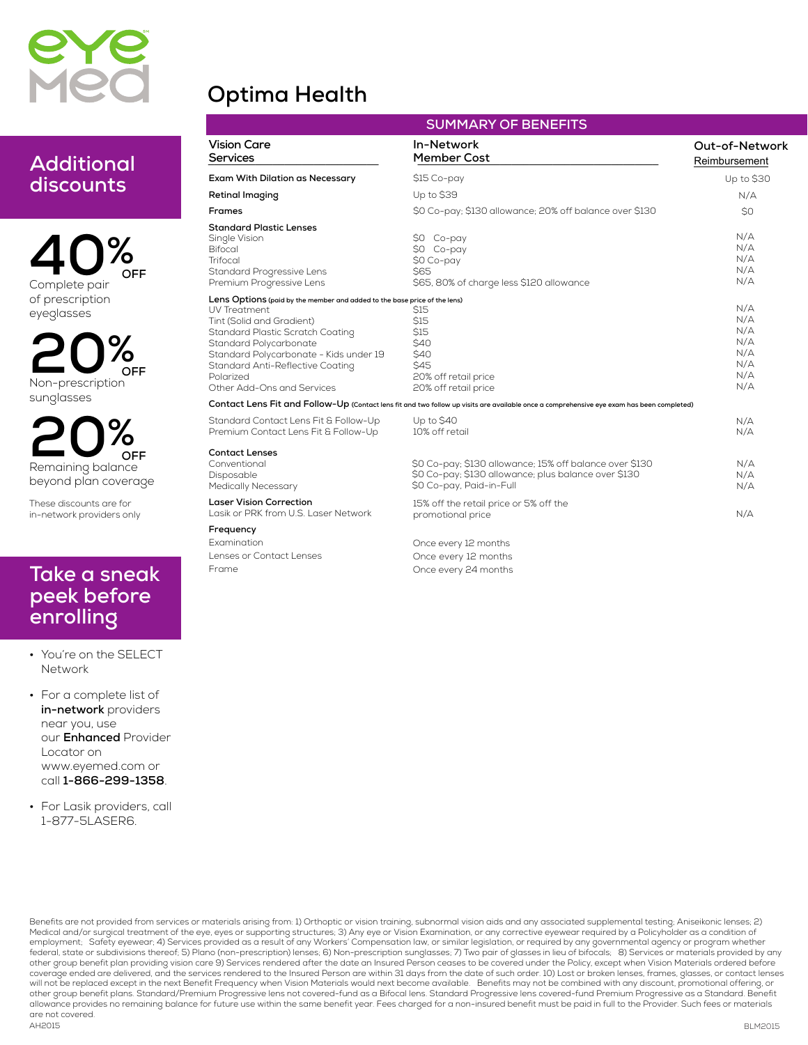

# **Optima Health**

## **Additional discounts**

**40%** of prescription eyeglasses **OFF**

**20%** Non-prescription sunglasses **OFF**

**20%** Remaining balance beyond plan coverage **OFF**

These discounts are for in-network providers only

### **Take a sneak peek before enrolling**

- **•** You're on the SELECT Network
- **•** For a complete list of **in-network** providers near you, use our **Enhanced** Provider Locator on www.eyemed.com or call **1-866-299-1358**.
- **•** For Lasik providers, call 1-877-5LASER6.

|                                                                                                                                                                                                                                                                                                               | JUI'II'IANT UF DEINEFITJ                                                                                                                    |                                                      |
|---------------------------------------------------------------------------------------------------------------------------------------------------------------------------------------------------------------------------------------------------------------------------------------------------------------|---------------------------------------------------------------------------------------------------------------------------------------------|------------------------------------------------------|
| <b>Vision Care</b><br>Services                                                                                                                                                                                                                                                                                | In-Network<br><b>Member Cost</b>                                                                                                            | Out-of-Network<br>Reimbursement                      |
| Exam With Dilation as Necessary                                                                                                                                                                                                                                                                               | \$15 Co-pay                                                                                                                                 | Up to \$30                                           |
| <b>Retinal Imaging</b>                                                                                                                                                                                                                                                                                        | Up to \$39                                                                                                                                  | N/A                                                  |
| Frames                                                                                                                                                                                                                                                                                                        | \$0 Co-pay; \$130 allowance; 20% off balance over \$130                                                                                     | S0                                                   |
| <b>Standard Plastic Lenses</b><br>Single Vision<br><b>Bifocal</b><br>Trifocal<br>Standard Progressive Lens<br>Premium Progressive Lens                                                                                                                                                                        | \$0 Co-pay<br>\$0 Co-pay<br>\$0 Co-pay<br><b>S65</b><br>\$65, 80% of charge less \$120 allowance                                            | N/A<br>N/A<br>N/A<br>N/A<br>N/A                      |
| Lens Options (paid by the member and added to the base price of the lens)<br>UV Treatment<br>Tint (Solid and Gradient)<br>Standard Plastic Scratch Coating<br>Standard Polycarbonate<br>Standard Polycarbonate - Kids under 19<br>Standard Anti-Reflective Coating<br>Polarized<br>Other Add-Ons and Services | \$15<br>\$15<br>\$15<br>\$40<br>\$40<br>\$45<br>20% off retail price<br>20% off retail price                                                | N/A<br>N/A<br>N/A<br>N/A<br>N/A<br>N/A<br>N/A<br>N/A |
|                                                                                                                                                                                                                                                                                                               | Contact Lens Fit and Follow-Up (Contact lens fit and two follow up visits are available once a comprehensive eye exam has been completed)   |                                                      |
| Standard Contact Lens Fit & Follow-Up<br>Premium Contact Lens Fit & Follow-Up                                                                                                                                                                                                                                 | Up to \$40<br>10% off retail                                                                                                                | N/A<br>N/A                                           |
| <b>Contact Lenses</b><br>Conventional<br>Disposable<br><b>Medically Necessary</b>                                                                                                                                                                                                                             | \$0 Co-pay; \$130 allowance; 15% off balance over \$130<br>\$0 Co-pay; \$130 allowance; plus balance over \$130<br>\$0 Co-pay, Paid-in-Full | N/A<br>N/A<br>N/A                                    |
| <b>Laser Vision Correction</b><br>Lasik or PRK from U.S. Laser Network                                                                                                                                                                                                                                        | 15% off the retail price or 5% off the<br>promotional price                                                                                 | N/A                                                  |
| Frequency                                                                                                                                                                                                                                                                                                     |                                                                                                                                             |                                                      |
| Examination                                                                                                                                                                                                                                                                                                   | Once every 12 months                                                                                                                        |                                                      |
| Lenses or Contact Lenses                                                                                                                                                                                                                                                                                      | Once every 12 months                                                                                                                        |                                                      |
| Erame                                                                                                                                                                                                                                                                                                         | Once every 24 months                                                                                                                        |                                                      |

Once every 24 months

**SUMMARY OF BENEFITS**

AH2015 Benefits are not provided from services or materials arising from: 1) Orthoptic or vision training, subnormal vision aids and any associated supplemental testing; Aniseikonic lenses; 2) Medical and/or surgical treatment of the eye, eyes or supporting structures; 3) Any eye or Vision Examination, or any corrective eyewear required by a Policyholder as a condition of employment; Safety eyewear; 4) Services provided as a result of any Workers' Compensation law, or similar legislation, or required by any governmental agency or program whether federal, state or subdivisions thereof; 5) Plano (non-prescription) lenses; 6) Non-prescription sunglasses; 7) Two pair of glasses in lieu of bifocals; 8) Services or materials provided by any other group benefit plan providing vision care 9) Services rendered after the date an Insured Person ceases to be covered under the Policy, except when Vision Materials ordered before<br>coverage ended are delivered, and the will not be replaced except in the next Benefit Frequency when Vision Materials would next become available. Benefits may not be combined with any discount, promotional offering, or<br>other group benefit plans. Standard/Prem allowance provides no remaining balance for future use within the same benefit year. Fees charged for a non-insured benefit must be paid in full to the Provider. Such fees or materials are not covered.